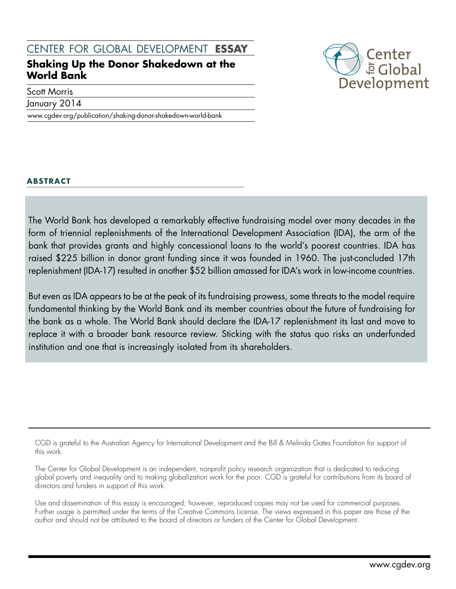# center for global development **essay**

# **Shaking Up the Donor Shakedown at the World Bank**

Scott Morris

January 2014

www.cgdev.org/publication/shaking-donor-shakedown-world-bank



### **abstract**

The World Bank has developed a remarkably effective fundraising model over many decades in the form of triennial replenishments of the International Development Association (IDA), the arm of the bank that provides grants and highly concessional loans to the world's poorest countries. IDA has raised \$225 billion in donor grant funding since it was founded in 1960. The just-concluded 17th replenishment (IDA-17) resulted in another \$52 billion amassed for IDA's work in low-income countries.

But even as IDA appears to be at the peak of its fundraising prowess, some threats to the model require fundamental thinking by the World Bank and its member countries about the future of fundraising for the bank as a whole. The World Bank should declare the IDA-17 replenishment its last and move to replace it with a broader bank resource review. Sticking with the status quo risks an underfunded institution and one that is increasingly isolated from its shareholders.

CGD is grateful to the Australian Agency for International Development and the Bill & Melinda Gates Foundation for support of this work.

The Center for Global Development is an independent, nonprofit policy research organization that is dedicated to reducing global poverty and inequality and to making globalization work for the poor. CGD is grateful for contributions from its board of directors and funders in support of this work.

Use and dissemination of this essay is encouraged; however, reproduced copies may not be used for commercial purposes. Further usage is permitted under the terms of the Creative Commons License. The views expressed in this paper are those of the author and should not be attributed to the board of directors or funders of the Center for Global Development.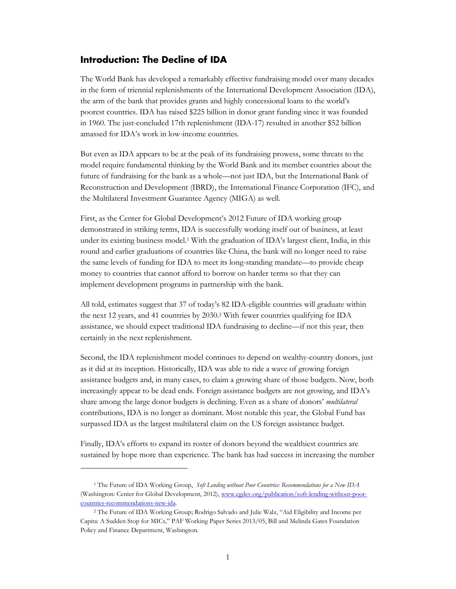#### **Introduction: The Decline of IDA**

The World Bank has developed a remarkably effective fundraising model over many decades in the form of triennial replenishments of the International Development Association (IDA), the arm of the bank that provides grants and highly concessional loans to the world's poorest countries. IDA has raised \$225 billion in donor grant funding since it was founded in 1960. The just-concluded 17th replenishment (IDA-17) resulted in another \$52 billion amassed for IDA's work in low-income countries.

But even as IDA appears to be at the peak of its fundraising prowess, some threats to the model require fundamental thinking by the World Bank and its member countries about the future of fundraising for the bank as a whole—not just IDA, but the International Bank of Reconstruction and Development (IBRD), the International Finance Corporation (IFC), and the Multilateral Investment Guarantee Agency (MIGA) as well.

First, as the Center for Global Development's 2012 Future of IDA working group demonstrated in striking terms, IDA is successfully working itself out of business, at least under its existing business model.<sup>1</sup> With the graduation of IDA's largest client, India, in this round and earlier graduations of countries like China, the bank will no longer need to raise the same levels of funding for IDA to meet its long-standing mandate—to provide cheap money to countries that cannot afford to borrow on harder terms so that they can implement development programs in partnership with the bank.

All told, estimates suggest that 37 of today's 82 IDA-eligible countries will graduate within the next 12 years, and 41 countries by 2030.<sup>2</sup> With fewer countries qualifying for IDA assistance, we should expect traditional IDA fundraising to decline—if not this year, then certainly in the next replenishment.

Second, the IDA replenishment model continues to depend on wealthy-country donors, just as it did at its inception. Historically, IDA was able to ride a wave of growing foreign assistance budgets and, in many cases, to claim a growing share of those budgets. Now, both increasingly appear to be dead ends. Foreign assistance budgets are not growing, and IDA's share among the large donor budgets is declining. Even as a share of donors' *multilateral* contributions, IDA is no longer as dominant. Most notable this year, the Global Fund has surpassed IDA as the largest multilateral claim on the US foreign assistance budget.

Finally, IDA's efforts to expand its roster of donors beyond the wealthiest countries are sustained by hope more than experience. The bank has had success in increasing the number

<sup>1</sup> The Future of IDA Working Group, *Soft Lending without Poor Countries: Recommendations for a New IDA* (Washington: Center for Global Development, 2012), [www.cgdev.org/publication/soft-lending-without-poor](http://www.cgdev.org/publication/soft-lending-without-poor-countries-recommendations-new-ida)[countries-recommendations-new-ida.](http://www.cgdev.org/publication/soft-lending-without-poor-countries-recommendations-new-ida)

<sup>2</sup> The Future of IDA Working Group; Rodrigo Salvado and Julie Walz, "Aid Eligibility and Income per Capita: A Sudden Stop for MICs," PAF Working Paper Series 2013/05, Bill and Melinda Gates Foundation Policy and Finance Department, Washington.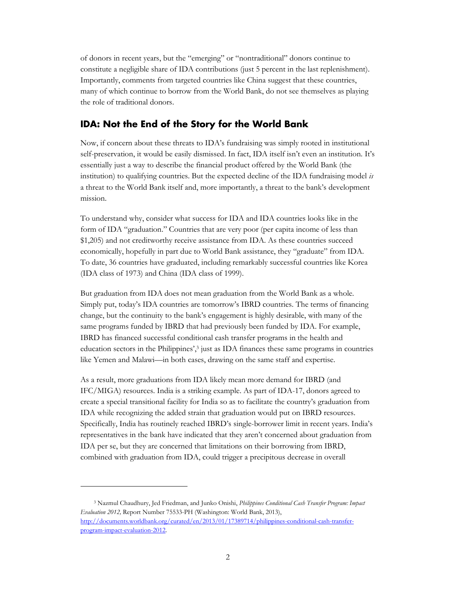of donors in recent years, but the "emerging" or "nontraditional" donors continue to constitute a negligible share of IDA contributions (just 5 percent in the last replenishment). Importantly, comments from targeted countries like China suggest that these countries, many of which continue to borrow from the World Bank, do not see themselves as playing the role of traditional donors.

# **IDA: Not the End of the Story for the World Bank**

Now, if concern about these threats to IDA's fundraising was simply rooted in institutional self-preservation, it would be easily dismissed. In fact, IDA itself isn't even an institution. It's essentially just a way to describe the financial product offered by the World Bank (the institution) to qualifying countries. But the expected decline of the IDA fundraising model *is* a threat to the World Bank itself and, more importantly, a threat to the bank's development mission.

To understand why, consider what success for IDA and IDA countries looks like in the form of IDA "graduation." Countries that are very poor (per capita income of less than \$1,205) and not creditworthy receive assistance from IDA. As these countries succeed economically, hopefully in part due to World Bank assistance, they "graduate" from IDA. To date, 36 countries have graduated, including remarkably successful countries like Korea (IDA class of 1973) and China (IDA class of 1999).

But graduation from IDA does not mean graduation from the World Bank as a whole. Simply put, today's IDA countries are tomorrow's IBRD countries. The terms of financing change, but the continuity to the bank's engagement is highly desirable, with many of the same programs funded by IBRD that had previously been funded by IDA. For example, IBRD has financed successful conditional cash transfer programs in the health and education sectors in the Philippines',<sup>3</sup> just as IDA finances these same programs in countries like Yemen and Malawi—in both cases, drawing on the same staff and expertise.

As a result, more graduations from IDA likely mean more demand for IBRD (and IFC/MIGA) resources. India is a striking example. As part of IDA-17, donors agreed to create a special transitional facility for India so as to facilitate the country's graduation from IDA while recognizing the added strain that graduation would put on IBRD resources. Specifically, India has routinely reached IBRD's single-borrower limit in recent years. India's representatives in the bank have indicated that they aren't concerned about graduation from IDA per se, but they are concerned that limitations on their borrowing from IBRD, combined with graduation from IDA, could trigger a precipitous decrease in overall

<sup>3</sup> Nazmul Chaudhury, Jed Friedman, and Junko Onishi, *Philippines Conditional Cash Transfer Program: Impact Evaluation 2012,* Report Number 75533-PH (Washington: World Bank, 2013), [http://documents.worldbank.org/curated/en/2013/01/17389714/philippines-conditional-cash-transfer](http://documents.worldbank.org/curated/en/2013/01/17389714/philippines-conditional-cash-transfer-program-impact-evaluation-2012)[program-impact-evaluation-2012.](http://documents.worldbank.org/curated/en/2013/01/17389714/philippines-conditional-cash-transfer-program-impact-evaluation-2012)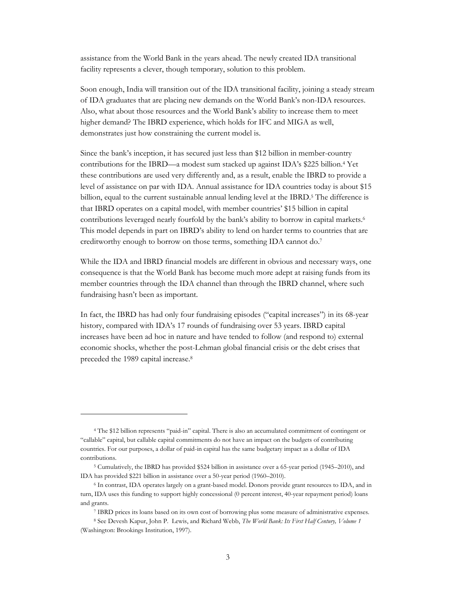assistance from the World Bank in the years ahead. The newly created IDA transitional facility represents a clever, though temporary, solution to this problem.

Soon enough, India will transition out of the IDA transitional facility, joining a steady stream of IDA graduates that are placing new demands on the World Bank's non-IDA resources. Also, what about those resources and the World Bank's ability to increase them to meet higher demand? The IBRD experience, which holds for IFC and MIGA as well, demonstrates just how constraining the current model is.

Since the bank's inception, it has secured just less than \$12 billion in member-country contributions for the IBRD—a modest sum stacked up against IDA's \$225 billion. <sup>4</sup> Yet these contributions are used very differently and, as a result, enable the IBRD to provide a level of assistance on par with IDA. Annual assistance for IDA countries today is about \$15 billion, equal to the current sustainable annual lending level at the IBRD.<sup>5</sup> The difference is that IBRD operates on a capital model, with member countries' \$15 billion in capital contributions leveraged nearly fourfold by the bank's ability to borrow in capital markets.<sup>6</sup> This model depends in part on IBRD's ability to lend on harder terms to countries that are creditworthy enough to borrow on those terms, something IDA cannot do. 7

While the IDA and IBRD financial models are different in obvious and necessary ways, one consequence is that the World Bank has become much more adept at raising funds from its member countries through the IDA channel than through the IBRD channel, where such fundraising hasn't been as important.

In fact, the IBRD has had only four fundraising episodes ("capital increases") in its 68-year history, compared with IDA's 17 rounds of fundraising over 53 years. IBRD capital increases have been ad hoc in nature and have tended to follow (and respond to) external economic shocks, whether the post-Lehman global financial crisis or the debt crises that preceded the 1989 capital increase. 8

<sup>4</sup> The \$12 billion represents "paid-in" capital. There is also an accumulated commitment of contingent or "callable" capital, but callable capital commitments do not have an impact on the budgets of contributing countries. For our purposes, a dollar of paid-in capital has the same budgetary impact as a dollar of IDA contributions.

<sup>5</sup> Cumulatively, the IBRD has provided \$524 billion in assistance over a 65-year period (1945–2010), and IDA has provided \$221 billion in assistance over a 50-year period (1960–2010).

<sup>6</sup> In contrast, IDA operates largely on a grant-based model. Donors provide grant resources to IDA, and in turn, IDA uses this funding to support highly concessional (0 percent interest, 40-year repayment period) loans and grants.

<sup>7</sup> IBRD prices its loans based on its own cost of borrowing plus some measure of administrative expenses.

<sup>8</sup> See Devesh Kapur, John P. Lewis, and Richard Webb, *The World Bank: Its First Half Century, Volume 1* (Washington: Brookings Institution, 1997).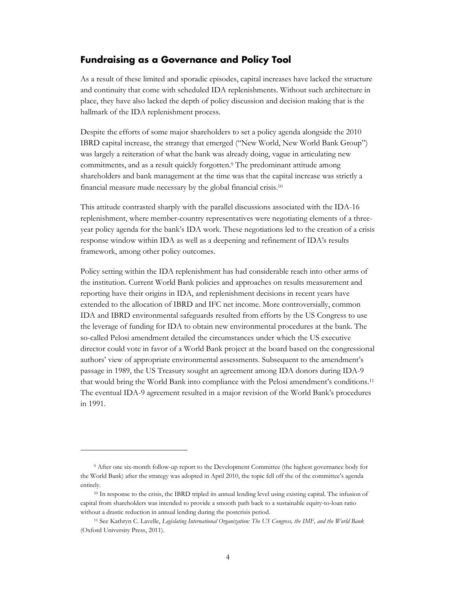#### **Fundraising as a Governance and Policy Tool**

As a result of these limited and sporadic episodes, capital increases have lacked the structure and continuity that come with scheduled IDA replenishments. Without such architecture in place, they have also lacked the depth of policy discussion and decision making that is the hallmark of the IDA replenishment process.

Despite the efforts of some major shareholders to set a policy agenda alongside the 2010 IBRD capital increase, the strategy that emerged ("New World, New World Bank Group") was largely a reiteration of what the bank was already doing, vague in articulating new commitments, and as a result quickly forgotten.<sup>9</sup> The predominant attitude among shareholders and bank management at the time was that the capital increase was strictly a financial measure made necessary by the global financial crisis.<sup>10</sup>

This attitude contrasted sharply with the parallel discussions associated with the IDA-16 replenishment, where member-country representatives were negotiating elements of a threeyear policy agenda for the bank's IDA work. These negotiations led to the creation of a crisis response window within IDA as well as a deepening and refinement of IDA's results framework, among other policy outcomes.

Policy setting within the IDA replenishment has had considerable reach into other arms of the institution. Current World Bank policies and approaches on results measurement and reporting have their origins in IDA, and replenishment decisions in recent years have extended to the allocation of IBRD and IFC net income. More controversially, common IDA and IBRD environmental safeguards resulted from efforts by the US Congress to use the leverage of funding for IDA to obtain new environmental procedures at the bank. The so-called Pelosi amendment detailed the circumstances under which the US executive director could vote in favor of a World Bank project at the board based on the congressional authors' view of appropriate environmental assessments. Subsequent to the amendment's passage in 1989, the US Treasury sought an agreement among IDA donors during IDA-9 that would bring the World Bank into compliance with the Pelosi amendment's conditions.<sup>11</sup> The eventual IDA-9 agreement resulted in a major revision of the World Bank's procedures in 1991.

<sup>9</sup> After one six-month follow-up report to the Development Committee (the highest governance body for the World Bank) after the strategy was adopted in April 2010, the topic fell off the of the committee's agenda entirely.

<sup>10</sup> In response to the crisis, the IBRD tripled its annual lending level using existing capital. The infusion of capital from shareholders was intended to provide a smooth path back to a sustainable equity-to-loan ratio without a drastic reduction in annual lending during the postcrisis period.

<sup>11</sup> See Kathryn C. Lavelle, *Legislating International Organization: The US Congress, the IMF, and the World Bank* (Oxford University Press, 2011).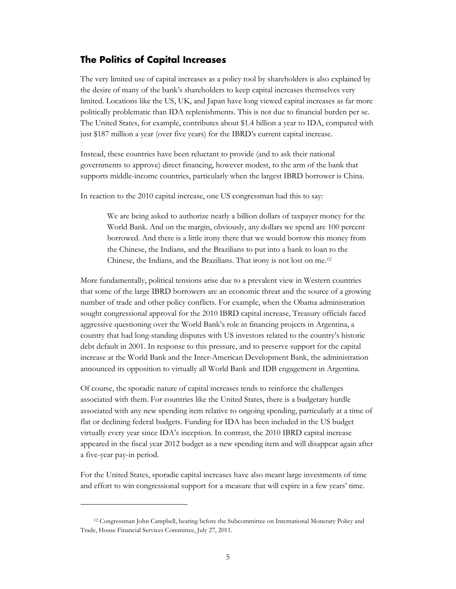#### **The Politics of Capital Increases**

The very limited use of capital increases as a policy tool by shareholders is also explained by the desire of many of the bank's shareholders to keep capital increases themselves very limited. Locations like the US, UK, and Japan have long viewed capital increases as far more politically problematic than IDA replenishments. This is not due to financial burden per se. The United States, for example, contributes about \$1.4 billion a year to IDA, compared with just \$187 million a year (over five years) for the IBRD's current capital increase.

Instead, these countries have been reluctant to provide (and to ask their national governments to approve) direct financing, however modest, to the arm of the bank that supports middle-income countries, particularly when the largest IBRD borrower is China.

In reaction to the 2010 capital increase, one US congressman had this to say:

We are being asked to authorize nearly a billion dollars of taxpayer money for the World Bank. And on the margin, obviously, any dollars we spend are 100 percent borrowed. And there is a little irony there that we would borrow this money from the Chinese, the Indians, and the Brazilians to put into a bank to loan to the Chinese, the Indians, and the Brazilians. That irony is not lost on me.*<sup>12</sup>*

More fundamentally, political tensions arise due to a prevalent view in Western countries that some of the large IBRD borrowers are an economic threat and the source of a growing number of trade and other policy conflicts. For example, when the Obama administration sought congressional approval for the 2010 IBRD capital increase, Treasury officials faced aggressive questioning over the World Bank's role in financing projects in Argentina, a country that had long-standing disputes with US investors related to the country's historic debt default in 2001. In response to this pressure, and to preserve support for the capital increase at the World Bank and the Inter-American Development Bank, the administration announced its opposition to virtually all World Bank and IDB engagement in Argentina.

Of course, the sporadic nature of capital increases tends to reinforce the challenges associated with them. For countries like the United States, there is a budgetary hurdle associated with any new spending item relative to ongoing spending, particularly at a time of flat or declining federal budgets. Funding for IDA has been included in the US budget virtually every year since IDA's inception. In contrast, the 2010 IBRD capital increase appeared in the fiscal year 2012 budget as a new spending item and will disappear again after a five-year pay-in period.

For the United States, sporadic capital increases have also meant large investments of time and effort to win congressional support for a measure that will expire in a few years' time.

<sup>12</sup> Congressman John Campbell, hearing before the Subcommittee on International Monetary Policy and Trade, House Financial Services Committee, July 27, 2011.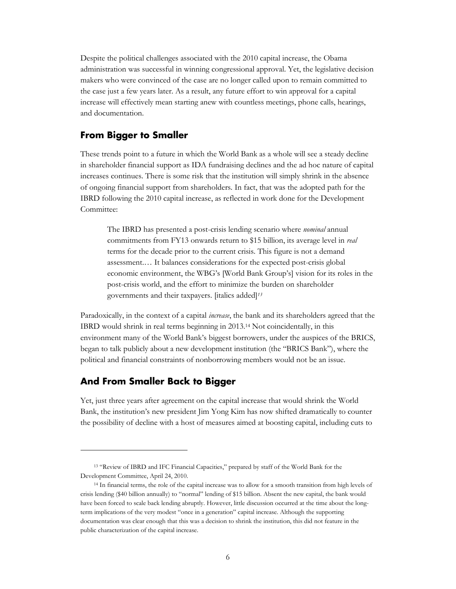Despite the political challenges associated with the 2010 capital increase, the Obama administration was successful in winning congressional approval. Yet, the legislative decision makers who were convinced of the case are no longer called upon to remain committed to the case just a few years later. As a result, any future effort to win approval for a capital increase will effectively mean starting anew with countless meetings, phone calls, hearings, and documentation.

### **From Bigger to Smaller**

These trends point to a future in which the World Bank as a whole will see a steady decline in shareholder financial support as IDA fundraising declines and the ad hoc nature of capital increases continues. There is some risk that the institution will simply shrink in the absence of ongoing financial support from shareholders. In fact, that was the adopted path for the IBRD following the 2010 capital increase, as reflected in work done for the Development Committee:

The IBRD has presented a post-crisis lending scenario where *nominal* annual commitments from FY13 onwards return to \$15 billion, its average level in *real* terms for the decade prior to the current crisis. This figure is not a demand assessment.… It balances considerations for the expected post-crisis global economic environment, the WBG's [World Bank Group's] vision for its roles in the post-crisis world, and the effort to minimize the burden on shareholder governments and their taxpayers. [italics added]*<sup>13</sup>*

Paradoxically, in the context of a capital *increase*, the bank and its shareholders agreed that the IBRD would shrink in real terms beginning in 2013.<sup>14</sup> Not coincidentally, in this environment many of the World Bank's biggest borrowers, under the auspices of the BRICS, began to talk publicly about a new development institution (the "BRICS Bank"), where the political and financial constraints of nonborrowing members would not be an issue.

### **And From Smaller Back to Bigger**

 $\overline{a}$ 

Yet, just three years after agreement on the capital increase that would shrink the World Bank, the institution's new president Jim Yong Kim has now shifted dramatically to counter the possibility of decline with a host of measures aimed at boosting capital, including cuts to

<sup>13</sup> "Review of IBRD and IFC Financial Capacities," prepared by staff of the World Bank for the Development Committee, April 24, 2010.

<sup>14</sup> In financial terms, the role of the capital increase was to allow for a smooth transition from high levels of crisis lending (\$40 billion annually) to "normal" lending of \$15 billion. Absent the new capital, the bank would have been forced to scale back lending abruptly. However, little discussion occurred at the time about the longterm implications of the very modest "once in a generation" capital increase. Although the supporting documentation was clear enough that this was a decision to shrink the institution, this did not feature in the public characterization of the capital increase.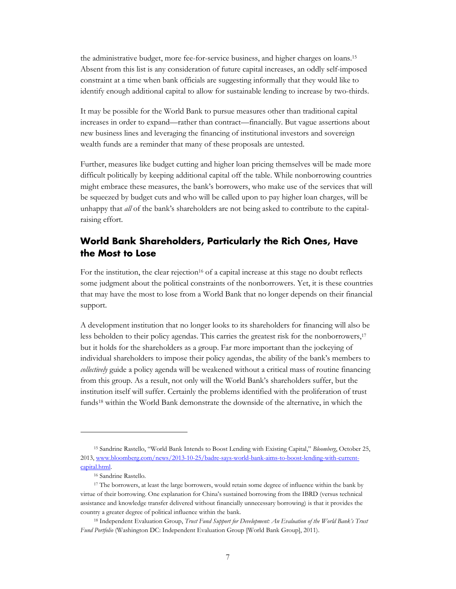the administrative budget, more fee-for-service business, and higher charges on loans.<sup>15</sup> Absent from this list is any consideration of future capital increases, an oddly self-imposed constraint at a time when bank officials are suggesting informally that they would like to identify enough additional capital to allow for sustainable lending to increase by two-thirds.

It may be possible for the World Bank to pursue measures other than traditional capital increases in order to expand—rather than contract—financially. But vague assertions about new business lines and leveraging the financing of institutional investors and sovereign wealth funds are a reminder that many of these proposals are untested.

Further, measures like budget cutting and higher loan pricing themselves will be made more difficult politically by keeping additional capital off the table. While nonborrowing countries might embrace these measures, the bank's borrowers, who make use of the services that will be squeezed by budget cuts and who will be called upon to pay higher loan charges, will be unhappy that *all* of the bank's shareholders are not being asked to contribute to the capitalraising effort.

# **World Bank Shareholders, Particularly the Rich Ones, Have the Most to Lose**

For the institution, the clear rejection<sup>16</sup> of a capital increase at this stage no doubt reflects some judgment about the political constraints of the nonborrowers. Yet, it is these countries that may have the most to lose from a World Bank that no longer depends on their financial support.

A development institution that no longer looks to its shareholders for financing will also be less beholden to their policy agendas. This carries the greatest risk for the nonborrowers, 17 but it holds for the shareholders as a group. Far more important than the jockeying of individual shareholders to impose their policy agendas, the ability of the bank's members to *collectively* guide a policy agenda will be weakened without a critical mass of routine financing from this group. As a result, not only will the World Bank's shareholders suffer, but the institution itself will suffer. Certainly the problems identified with the proliferation of trust funds<sup>18</sup> within the World Bank demonstrate the downside of the alternative, in which the

<sup>15</sup> Sandrine Rastello, "World Bank Intends to Boost Lending with Existing Capital," *Bloomberg*, October 25, 2013, [www.bloomberg.com/news/2013-10-25/badre-says-world-bank-aims-to-boost-lending-with-current](http://www.bloomberg.com/news/2013-10-25/badre-says-world-bank-aims-to-boost-lending-with-current-capital.html)[capital.html.](http://www.bloomberg.com/news/2013-10-25/badre-says-world-bank-aims-to-boost-lending-with-current-capital.html)

<sup>16</sup> Sandrine Rastello.

<sup>&</sup>lt;sup>17</sup> The borrowers, at least the large borrowers, would retain some degree of influence within the bank by virtue of their borrowing. One explanation for China's sustained borrowing from the IBRD (versus technical assistance and knowledge transfer delivered without financially unnecessary borrowing) is that it provides the country a greater degree of political influence within the bank.

<sup>18</sup> Independent Evaluation Group, *Trust Fund Support for Development: An Evaluation of the World Bank's Trust Fund Portfolio* (Washington DC: Independent Evaluation Group [World Bank Group], 2011).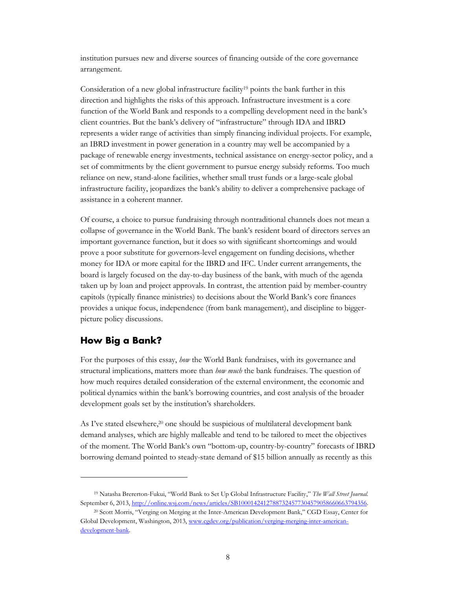institution pursues new and diverse sources of financing outside of the core governance arrangement.

Consideration of a new global infrastructure facility<sup>19</sup> points the bank further in this direction and highlights the risks of this approach. Infrastructure investment is a core function of the World Bank and responds to a compelling development need in the bank's client countries. But the bank's delivery of "infrastructure" through IDA and IBRD represents a wider range of activities than simply financing individual projects. For example, an IBRD investment in power generation in a country may well be accompanied by a package of renewable energy investments, technical assistance on energy-sector policy, and a set of commitments by the client government to pursue energy subsidy reforms. Too much reliance on new, stand-alone facilities, whether small trust funds or a large-scale global infrastructure facility, jeopardizes the bank's ability to deliver a comprehensive package of assistance in a coherent manner.

Of course, a choice to pursue fundraising through nontraditional channels does not mean a collapse of governance in the World Bank. The bank's resident board of directors serves an important governance function, but it does so with significant shortcomings and would prove a poor substitute for governors-level engagement on funding decisions, whether money for IDA or more capital for the IBRD and IFC. Under current arrangements, the board is largely focused on the day-to-day business of the bank, with much of the agenda taken up by loan and project approvals. In contrast, the attention paid by member-country capitols (typically finance ministries) to decisions about the World Bank's core finances provides a unique focus, independence (from bank management), and discipline to biggerpicture policy discussions.

### **How Big a Bank?**

 $\overline{a}$ 

For the purposes of this essay, *how* the World Bank fundraises, with its governance and structural implications, matters more than *how much* the bank fundraises. The question of how much requires detailed consideration of the external environment, the economic and political dynamics within the bank's borrowing countries, and cost analysis of the broader development goals set by the institution's shareholders.

As I've stated elsewhere, <sup>20</sup> one should be suspicious of multilateral development bank demand analyses, which are highly malleable and tend to be tailored to meet the objectives of the moment. The World Bank's own "bottom-up, country-by-country" forecasts of IBRD borrowing demand pointed to steady-state demand of \$15 billion annually as recently as this

<sup>19</sup> Natasha Brererton-Fukui, "World Bank to Set Up Global Infrastructure Facility," *The Wall Street Journal.*  September 6, 2013, [http://online.wsj.com/news/articles/SB10001424127887324577304579058660663794356.](http://online.wsj.com/news/articles/SB10001424127887324577304579058660663794356) 

<sup>20</sup> Scott Morris, "Verging on Merging at the Inter-American Development Bank," CGD Essay, Center for Global Development, Washington, 2013, [www.cgdev.org/publication/verging-merging-inter-american](http://www.cgdev.org/publication/verging-merging-inter-american-development-bank)[development-bank.](http://www.cgdev.org/publication/verging-merging-inter-american-development-bank)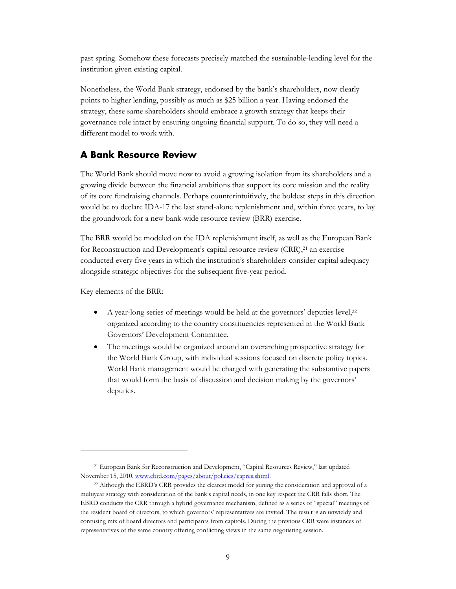past spring. Somehow these forecasts precisely matched the sustainable-lending level for the institution given existing capital.

Nonetheless, the World Bank strategy, endorsed by the bank's shareholders, now clearly points to higher lending, possibly as much as \$25 billion a year. Having endorsed the strategy, these same shareholders should embrace a growth strategy that keeps their governance role intact by ensuring ongoing financial support. To do so, they will need a different model to work with.

# **A Bank Resource Review**

The World Bank should move now to avoid a growing isolation from its shareholders and a growing divide between the financial ambitions that support its core mission and the reality of its core fundraising channels. Perhaps counterintuitively, the boldest steps in this direction would be to declare IDA-17 the last stand-alone replenishment and, within three years, to lay the groundwork for a new bank-wide resource review (BRR) exercise.

The BRR would be modeled on the IDA replenishment itself, as well as the European Bank for Reconstruction and Development's capital resource review (CRR),<sup>21</sup> an exercise conducted every five years in which the institution's shareholders consider capital adequacy alongside strategic objectives for the subsequent five-year period.

Key elements of the BRR:

- A year-long series of meetings would be held at the governors' deputies level, 22 organized according to the country constituencies represented in the World Bank Governors' Development Committee.
- The meetings would be organized around an overarching prospective strategy for the World Bank Group, with individual sessions focused on discrete policy topics. World Bank management would be charged with generating the substantive papers that would form the basis of discussion and decision making by the governors' deputies.

<sup>21</sup> European Bank for Reconstruction and Development, "Capital Resources Review," last updated November 15, 2010, [www.ebrd.com/pages/about/policies/capres.shtml.](http://www.ebrd.com/pages/about/policies/capres.shtml)

<sup>&</sup>lt;sup>22</sup> Although the EBRD's CRR provides the clearest model for joining the consideration and approval of a multiyear strategy with consideration of the bank's capital needs, in one key respect the CRR falls short. The EBRD conducts the CRR through a hybrid governance mechanism, defined as a series of "special" meetings of the resident board of directors, to which governors' representatives are invited. The result is an unwieldy and confusing mix of board directors and participants from capitols. During the previous CRR were instances of representatives of the same country offering conflicting views in the same negotiating session.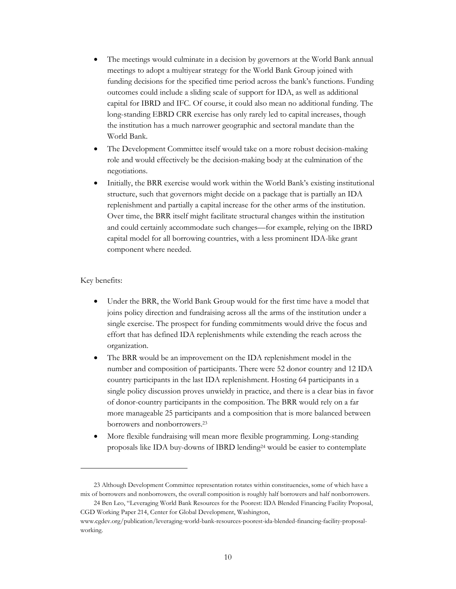- The meetings would culminate in a decision by governors at the World Bank annual meetings to adopt a multiyear strategy for the World Bank Group joined with funding decisions for the specified time period across the bank's functions. Funding outcomes could include a sliding scale of support for IDA, as well as additional capital for IBRD and IFC. Of course, it could also mean no additional funding. The long-standing EBRD CRR exercise has only rarely led to capital increases, though the institution has a much narrower geographic and sectoral mandate than the World Bank.
- The Development Committee itself would take on a more robust decision-making role and would effectively be the decision-making body at the culmination of the negotiations.
- Initially, the BRR exercise would work within the World Bank's existing institutional structure, such that governors might decide on a package that is partially an IDA replenishment and partially a capital increase for the other arms of the institution. Over time, the BRR itself might facilitate structural changes within the institution and could certainly accommodate such changes—for example, relying on the IBRD capital model for all borrowing countries, with a less prominent IDA-like grant component where needed.

#### Key benefits:

- Under the BRR, the World Bank Group would for the first time have a model that joins policy direction and fundraising across all the arms of the institution under a single exercise. The prospect for funding commitments would drive the focus and effort that has defined IDA replenishments while extending the reach across the organization.
- The BRR would be an improvement on the IDA replenishment model in the number and composition of participants. There were 52 donor country and 12 IDA country participants in the last IDA replenishment. Hosting 64 participants in a single policy discussion proves unwieldy in practice, and there is a clear bias in favor of donor-country participants in the composition. The BRR would rely on a far more manageable 25 participants and a composition that is more balanced between borrowers and nonborrowers.<sup>23</sup>
- More flexible fundraising will mean more flexible programming. Long-standing proposals like IDA buy-downs of IBRD lending<sup>24</sup> would be easier to contemplate

<sup>23</sup> Although Development Committee representation rotates within constituencies, some of which have a mix of borrowers and nonborrowers, the overall composition is roughly half borrowers and half nonborrowers.

<sup>24</sup> Ben Leo, "Leveraging World Bank Resources for the Poorest: IDA Blended Financing Facility Proposal, CGD Working Paper 214, Center for Global Development, Washington,

[www.cgdev.org/publication/leveraging-world-bank-resources-poorest-ida-blended-financing-facility-proposal](http://www.cgdev.org/publication/leveraging-world-bank-resources-poorest-ida-blended-financing-facility-proposal-working)[working.](http://www.cgdev.org/publication/leveraging-world-bank-resources-poorest-ida-blended-financing-facility-proposal-working)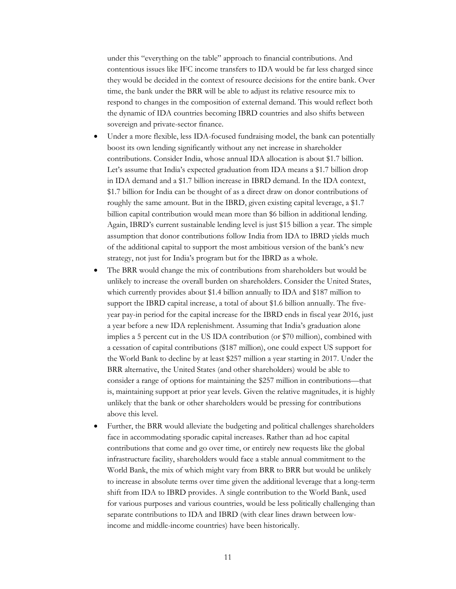under this "everything on the table" approach to financial contributions. And contentious issues like IFC income transfers to IDA would be far less charged since they would be decided in the context of resource decisions for the entire bank. Over time, the bank under the BRR will be able to adjust its relative resource mix to respond to changes in the composition of external demand. This would reflect both the dynamic of IDA countries becoming IBRD countries and also shifts between sovereign and private-sector finance.

- Under a more flexible, less IDA-focused fundraising model, the bank can potentially boost its own lending significantly without any net increase in shareholder contributions. Consider India, whose annual IDA allocation is about \$1.7 billion. Let's assume that India's expected graduation from IDA means a \$1.7 billion drop in IDA demand and a \$1.7 billion increase in IBRD demand. In the IDA context, \$1.7 billion for India can be thought of as a direct draw on donor contributions of roughly the same amount. But in the IBRD, given existing capital leverage, a \$1.7 billion capital contribution would mean more than \$6 billion in additional lending. Again, IBRD's current sustainable lending level is just \$15 billion a year. The simple assumption that donor contributions follow India from IDA to IBRD yields much of the additional capital to support the most ambitious version of the bank's new strategy, not just for India's program but for the IBRD as a whole.
- The BRR would change the mix of contributions from shareholders but would be unlikely to increase the overall burden on shareholders. Consider the United States, which currently provides about \$1.4 billion annually to IDA and \$187 million to support the IBRD capital increase, a total of about \$1.6 billion annually. The fiveyear pay-in period for the capital increase for the IBRD ends in fiscal year 2016, just a year before a new IDA replenishment. Assuming that India's graduation alone implies a 5 percent cut in the US IDA contribution (or \$70 million), combined with a cessation of capital contributions (\$187 million), one could expect US support for the World Bank to decline by at least \$257 million a year starting in 2017. Under the BRR alternative, the United States (and other shareholders) would be able to consider a range of options for maintaining the \$257 million in contributions—that is, maintaining support at prior year levels. Given the relative magnitudes, it is highly unlikely that the bank or other shareholders would be pressing for contributions above this level.
- Further, the BRR would alleviate the budgeting and political challenges shareholders face in accommodating sporadic capital increases. Rather than ad hoc capital contributions that come and go over time, or entirely new requests like the global infrastructure facility, shareholders would face a stable annual commitment to the World Bank, the mix of which might vary from BRR to BRR but would be unlikely to increase in absolute terms over time given the additional leverage that a long-term shift from IDA to IBRD provides. A single contribution to the World Bank, used for various purposes and various countries, would be less politically challenging than separate contributions to IDA and IBRD (with clear lines drawn between lowincome and middle-income countries) have been historically.